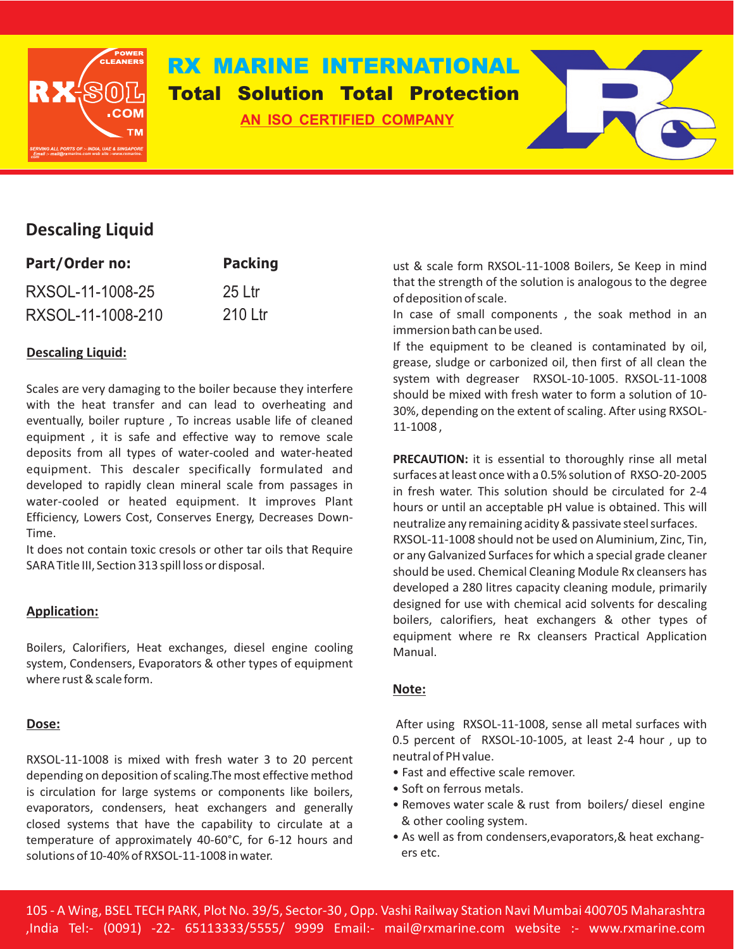

# **RX MARINE INTERNATIONAL AN ISO CERTIFIED COMPANY Total Solution Total Protection**



# **Descaling Liquid**

| Part/Order no:    | <b>Packing</b> |
|-------------------|----------------|
| RXSOL-11-1008-25  | $25$ Ltr       |
| RXSOL-11-1008-210 | 210 Ltr        |

## **Descaling Liquid:**

Scales are very damaging to the boiler because they interfere with the heat transfer and can lead to overheating and eventually, boiler rupture , To increas usable life of cleaned equipment , it is safe and effective way to remove scale deposits from all types of water-cooled and water-heated equipment. This descaler specifically formulated and developed to rapidly clean mineral scale from passages in water-cooled or heated equipment. It improves Plant Efficiency, Lowers Cost, Conserves Energy, Decreases Down-Time.

It does not contain toxic cresols or other tar oils that Require SARA Title III, Section 313 spill loss or disposal.

### **Application:**

Boilers, Calorifiers, Heat exchanges, diesel engine cooling Manual. system, Condensers, Evaporators & other types of equipment where rust & scale form.

#### **Dose:**

RXSOL-11-1008 is mixed with fresh water 3 to 20 percent depending on deposition of scaling.The most effective method is circulation for large systems or components like boilers, evaporators, condensers, heat exchangers and generally closed systems that have the capability to circulate at a temperature of approximately 40-60°C, for 6-12 hours and solutions of 10-40% of RXSOL-11-1008 in water.

ust & scale form RXSOL-11-1008 Boilers, Se Keep in mind that the strength of the solution is analogous to the degree of deposition of scale.

In case of small components , the soak method in an immersion bath can be used.

If the equipment to be cleaned is contaminated by oil, grease, sludge or carbonized oil, then first of all clean the system with degreaser RXSOL-10-1005. RXSOL-11-1008 should be mixed with fresh water to form a solution of 10- 30%, depending on the extent of scaling. After using RXSOL-11-1008 ,

**PRECAUTION:** it is essential to thoroughly rinse all metal surfaces at least once with a 0.5% solution of RXSO-20-2005 in fresh water. This solution should be circulated for 2-4 hours or until an acceptable pH value is obtained. This will neutralize any remaining acidity & passivate steel surfaces. RXSOL-11-1008 should not be used on Aluminium, Zinc, Tin, or any Galvanized Surfaces for which a special grade cleaner should be used. Chemical Cleaning Module Rx cleansers has developed a 280 litres capacity cleaning module, primarily designed for use with chemical acid solvents for descaling boilers, calorifiers, heat exchangers & other types of equipment where re Rx cleansers Practical Application

#### **Note:**

After using RXSOL-11-1008, sense all metal surfaces with 0.5 percent of RXSOL-10-1005, at least 2-4 hour , up to neutral of PH value.

- Fast and effective scale remover.
- Soft on ferrous metals.
- Removes water scale & rust from boilers/ diesel engine & other cooling system.
- As well as from condensers,evaporators,& heat exchang ers etc.

105 - A Wing, BSEL TECH PARK, Plot No. 39/5, Sector-30 , Opp. Vashi Railway Station Navi Mumbai 400705 Maharashtra ,India Tel:- (0091) -22- 65113333/5555/ 9999 Email:- mail@rxmarine.com website :- www.rxmarine.com